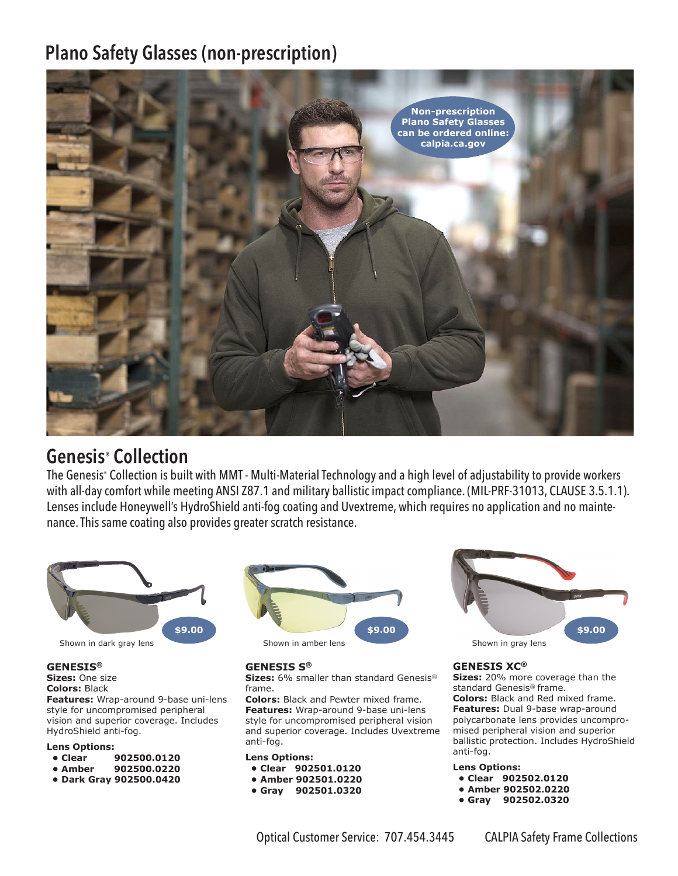# **Plano Safety Glasses (non-prescription)**



## **Genesis® Collection**

The Genesis® Collection is built with MMT - Multi-Material Technology and a high level of adjustability to provide workers with all-day comfort while meeting ANSI Z87.1 and military ballistic impact compliance. (MIL-PRF-31013, CLAUSE 3.5.1.1). Lenses include Honeywell's HydroShield anti-fog coating and Uvextreme, which requires no application and no maintenance. This same coating also provides greater scratch resistance.



### **GENESIS®**

**Sizes:** One size **Colors:** Black

**Features:** Wrap-around 9-base uni-lens style for uncompromised peripheral vision and superior coverage. Includes HydroShield anti-fog.

### **Lens Options:**

- **Clear 902500.0120**
- **Amber 902500.0220**
- **Dark Gray 902500.0420**



### **GENESIS S®**

**Sizes:** 6% smaller than standard Genesis® frame.

**Colors:** Black and Pewter mixed frame. **Features:** Wrap-around 9-base uni-lens style for uncompromised peripheral vision and superior coverage. Includes Uvextreme anti-fog.

#### **Lens Options:**

- **Clear 902501.0120**
- **Amber 902501.0220**
- **Gray 902501.0320**



### **GENESIS XC®**

**Sizes:** 20% more coverage than the standard Genesis® frame. **Colors:** Black and Red mixed frame. **Features:** Dual 9-base wrap-around polycarbonate lens provides uncompromised peripheral vision and superior ballistic protection. Includes HydroShield anti-fog.

**Lens Options:** 

- **Clear 902502.0120**
- **Amber 902502.0220**
- **Gray 902502.0320**

Optical Customer Service: 707.454.3445 CALPIA Safety Frame Collections